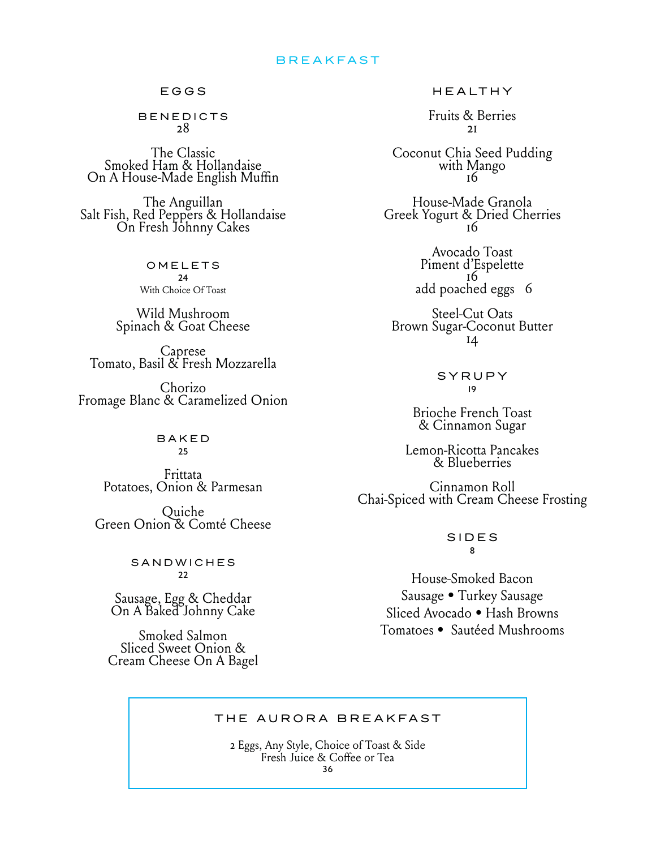# BREAKFAST

#### EGGS

BENEDICTS 28

The Classic Smoked Ham & Hollandaise On A House-Made English Muffin

The Anguillan Salt Fish, Red Peppers & Hollandaise On Fresh Johnny Cakes

OMELETS  $24$ With Choice Of Toast

Wild Mushroom Spinach & Goat Cheese

Caprese Tomato, Basil & Fresh Mozzarella

Chorizo Fromage Blanc & Caramelized Onion

> BAKED 25

Frittata Potatoes, Onion & Parmesan

Quiche<br>Green Onion & Comté Cheese

**SANDWICHES**  $22$ 

Sausage, Egg & Cheddar On A Baked Johnny Cake

Smoked Salmon Sliced Sweet Onion & Cream Cheese On A Bagel HEALTHY

Fruits & Berries 21

Coconut Chia Seed Pudding with Mango <sup>16</sup>

House-Made Granola Greek Yogurt & Dried Cherries

> Avocado Toast Piment d'Espelette add poached eggs 6

Steel-Cut Oats Brown Sugar-Coconut Butter 14

> SYRUPY 19

Brioche French Toast & Cinnamon Sugar

Lemon-Ricotta Pancakes & Blueberries

Cinnamon Roll Chai-Spiced with Cream Cheese Frosting

#### SIDES 8

House-Smoked Bacon Sausage • Turkey Sausage Sliced Avocado • Hash Browns Tomatoes • Sautéed Mushrooms

## THE AURORA BREAKFAST

2 Eggs, Any Style, Choice of Toast & Side Fresh Juice & Coffee or Tea 36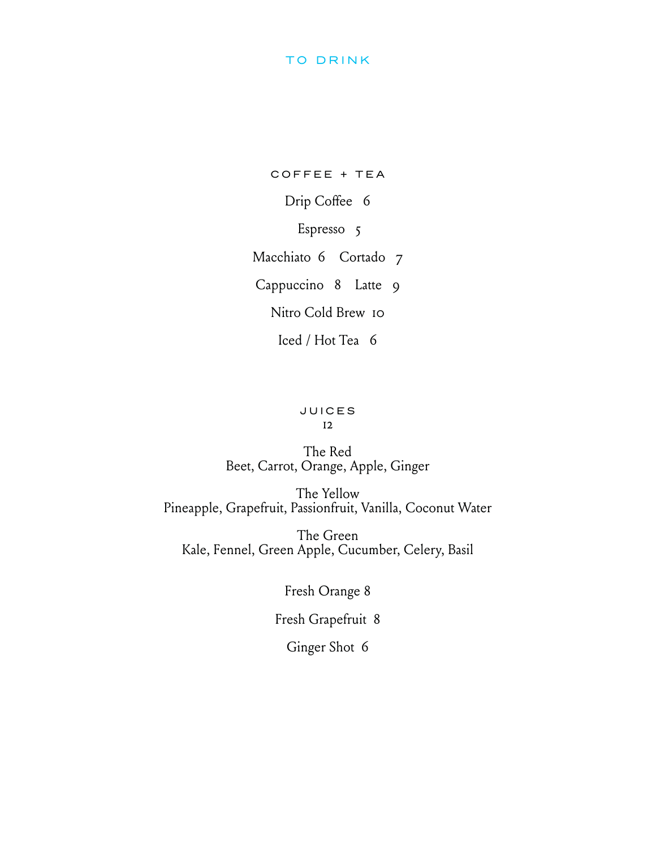# TO DRINK

COFFEE + TEA Drip Coffee 6 Espresso 5 Macchiato 6 Cortado 7 Cappuccino 8 Latte 9 Nitro Cold Brew 10 Iced / Hot Tea 6

# JUICES

12

# The Red Beet, Carrot, Orange, Apple, Ginger

The Yellow Pineapple, Grapefruit, Passionfruit, Vanilla, Coconut Water

The Green Kale, Fennel, Green Apple, Cucumber, Celery, Basil

Fresh Orange 8

Fresh Grapefruit 8

Ginger Shot 6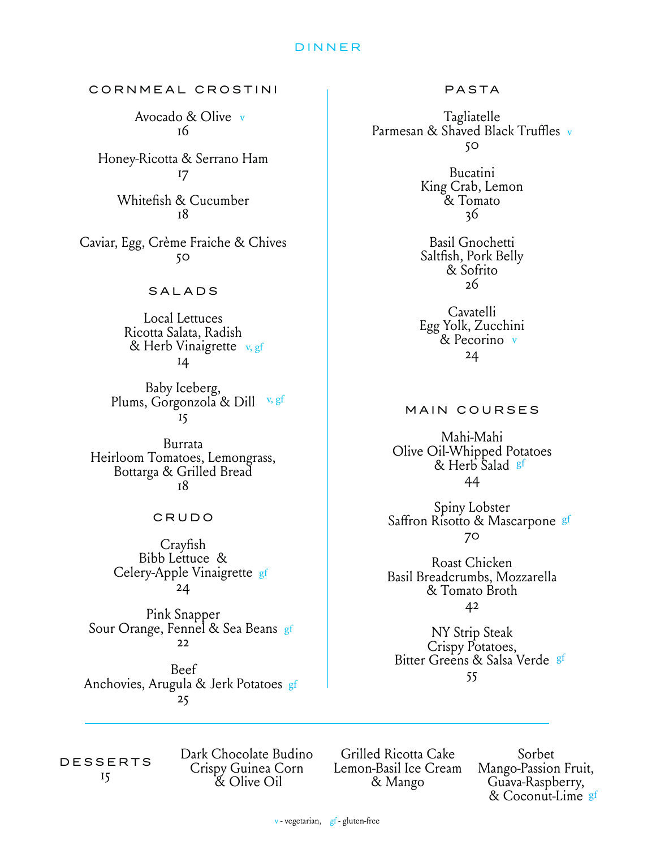### D INNER

CORNMEAL CROSTINI

Avocado & Olive v 16

Honey-Ricotta & Serrano Ham 17

> Whitefish & Cucumber 18

Caviar, Egg, Crème Fraiche & Chives 50

## SALADS

Local Lettuces Ricotta Salata, Radish & Herb Vinaigrette v, gf 14

Baby Iceberg,<br>Plums, Gorgonzola & Dill <sup>v, gf</sup> 15

Burrata Heirloom Tomatoes, Lemongrass, Bottarga & Grilled Bread 18

#### CRUDO

Crayfish Bibb Lettuce & Celery-Apple Vinaigrette gf 24

Pink Snapper Sour Orange, Fennel & Sea Beans <sub>gf</sub> 22

Beef Anchovies, Arugula & Jerk Potatoes gf 25

PASTA

Tagliatelle<br>Parmesan & Shaved Black Truffles v 50

> Bucatini King Crab, Lemon & Tomato 36

> Basil Gnochetti Saltfish, Pork Belly & Sofrito 26

> Cavatelli Egg Yolk, Zucchini & Pecorino v 24

### MAIN COURSES

Mahi-Mahi Olive Oil-Whipped Potatoes & Herb Salad §f 44

Spiny Lobster Saffron Risotto & Mascarpone <sup>gf</sup> 70

Roast Chicken Basil Breadcrumbs, Mozzarella & Tomato Broth 42

NY Strip Steak Crispy Potatoes, Bitter Greens & Salsa Verde gf 55

DESSERTS 15

Dark Chocolate Budino Crispy Guinea Corn & Olive Oil

Grilled Ricotta Cake Lemon-Basil Ice Cream & Mango

Sorbet Mango-Passion Fruit, Guava-Raspberry, & Coconut-Lime gf

v - vegetarian, gf - gluten-free